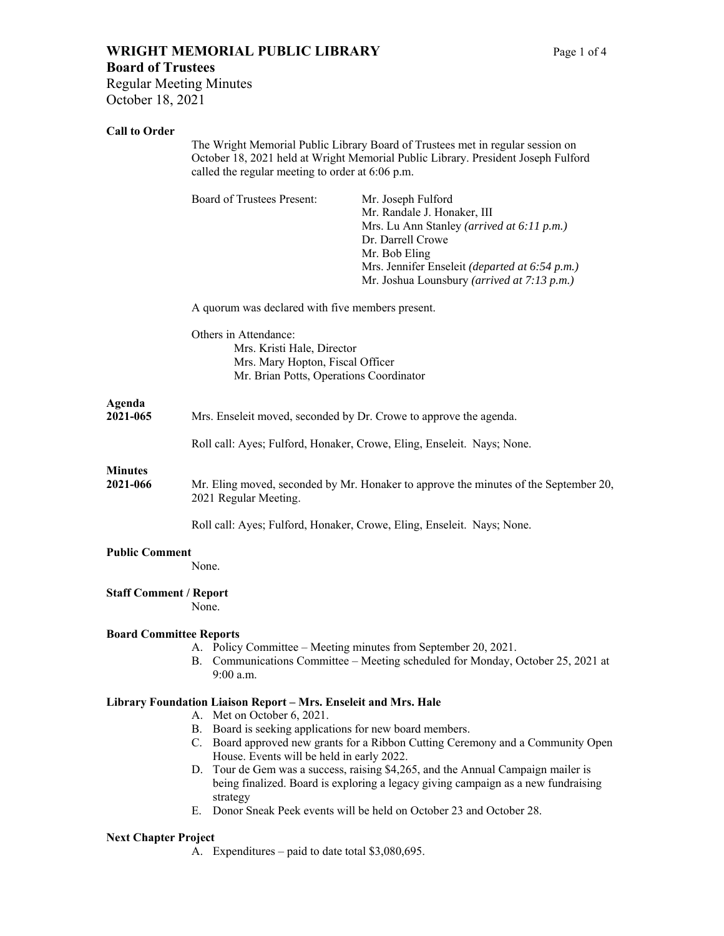# **WRIGHT MEMORIAL PUBLIC LIBRARY** Page 1 of 4 **Board of Trustees**

### **Call to Order**

| Call to Orger                  | The Wright Memorial Public Library Board of Trustees met in regular session on<br>October 18, 2021 held at Wright Memorial Public Library. President Joseph Fulford<br>called the regular meeting to order at 6:06 p.m. |                                                                                                                                                                                                                                        |  |
|--------------------------------|-------------------------------------------------------------------------------------------------------------------------------------------------------------------------------------------------------------------------|----------------------------------------------------------------------------------------------------------------------------------------------------------------------------------------------------------------------------------------|--|
|                                | <b>Board of Trustees Present:</b>                                                                                                                                                                                       | Mr. Joseph Fulford<br>Mr. Randale J. Honaker, III<br>Mrs. Lu Ann Stanley (arrived at 6:11 p.m.)<br>Dr. Darrell Crowe<br>Mr. Bob Eling<br>Mrs. Jennifer Enseleit (departed at 6:54 p.m.)<br>Mr. Joshua Lounsbury (arrived at 7:13 p.m.) |  |
|                                | A quorum was declared with five members present.                                                                                                                                                                        |                                                                                                                                                                                                                                        |  |
|                                | Others in Attendance:<br>Mrs. Kristi Hale, Director<br>Mrs. Mary Hopton, Fiscal Officer<br>Mr. Brian Potts, Operations Coordinator                                                                                      |                                                                                                                                                                                                                                        |  |
| Agenda<br>2021-065             | Mrs. Enseleit moved, seconded by Dr. Crowe to approve the agenda.                                                                                                                                                       |                                                                                                                                                                                                                                        |  |
|                                |                                                                                                                                                                                                                         | Roll call: Ayes; Fulford, Honaker, Crowe, Eling, Enseleit. Nays; None.                                                                                                                                                                 |  |
| <b>Minutes</b><br>2021-066     | Mr. Eling moved, seconded by Mr. Honaker to approve the minutes of the September 20,<br>2021 Regular Meeting.                                                                                                           |                                                                                                                                                                                                                                        |  |
|                                |                                                                                                                                                                                                                         | Roll call: Ayes; Fulford, Honaker, Crowe, Eling, Enseleit. Nays; None.                                                                                                                                                                 |  |
| <b>Public Comment</b>          | None.                                                                                                                                                                                                                   |                                                                                                                                                                                                                                        |  |
| <b>Staff Comment / Report</b>  | None.                                                                                                                                                                                                                   |                                                                                                                                                                                                                                        |  |
| <b>Board Committee Reports</b> | $9:00$ a.m.                                                                                                                                                                                                             | A. Policy Committee – Meeting minutes from September 20, 2021.<br>B. Communications Committee - Meeting scheduled for Monday, October 25, 2021 at                                                                                      |  |
|                                | Library Foundation Liaison Report - Mrs. Enseleit and Mrs. Hale<br>A. Met on October 6, 2021.<br>B. Board is seeking applications for new board members.<br>House. Events will be held in early 2022.                   | C. Board approved new grants for a Ribbon Cutting Ceremony and a Community Open<br>D. Tour de Gem was a success, raising \$4,265, and the Annual Campaign mailer is                                                                    |  |
|                                | strategy                                                                                                                                                                                                                | being finalized. Board is exploring a legacy giving campaign as a new fundraising<br>E. Donor Sneak Peek events will be held on October 23 and October 28.                                                                             |  |
| <b>Next Chapter Project</b>    | A. Expenditures – paid to date total \$3,080,695.                                                                                                                                                                       |                                                                                                                                                                                                                                        |  |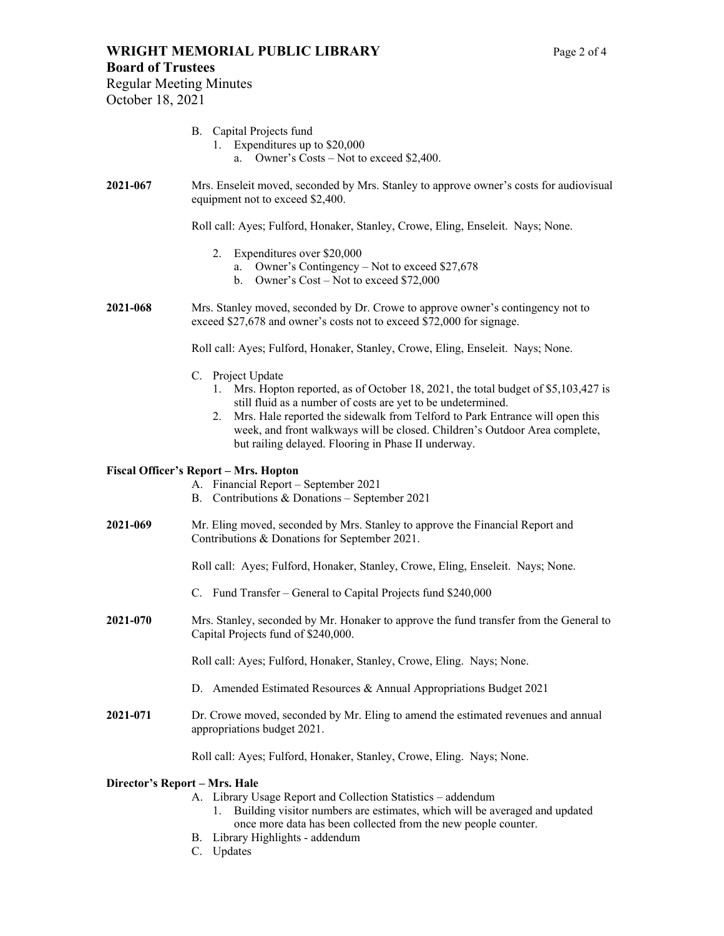### **Board of Trustees**

Regular Meeting Minutes October 18, 2021

### B. Capital Projects fund

- 1. Expenditures up to \$20,000 a. Owner's Costs – Not to exceed \$2,400.
- **2021-067** Mrs. Enseleit moved, seconded by Mrs. Stanley to approve owner's costs for audiovisual equipment not to exceed \$2,400.

Roll call: Ayes; Fulford, Honaker, Stanley, Crowe, Eling, Enseleit. Nays; None.

- 2. Expenditures over \$20,000
	- a. Owner's Contingency Not to exceed \$27,678
	- b. Owner's Cost Not to exceed \$72,000

**2021-068** Mrs. Stanley moved, seconded by Dr. Crowe to approve owner's contingency not to exceed \$27,678 and owner's costs not to exceed \$72,000 for signage.

Roll call: Ayes; Fulford, Honaker, Stanley, Crowe, Eling, Enseleit. Nays; None.

- C. Project Update
	- 1. Mrs. Hopton reported, as of October 18, 2021, the total budget of \$5,103,427 is still fluid as a number of costs are yet to be undetermined.
	- 2. Mrs. Hale reported the sidewalk from Telford to Park Entrance will open this week, and front walkways will be closed. Children's Outdoor Area complete, but railing delayed. Flooring in Phase II underway.

### **Fiscal Officer's Report – Mrs. Hopton**

- A. Financial Report September 2021
- B. Contributions & Donations September 2021
- **2021-069** Mr. Eling moved, seconded by Mrs. Stanley to approve the Financial Report and Contributions & Donations for September 2021.

Roll call: Ayes; Fulford, Honaker, Stanley, Crowe, Eling, Enseleit. Nays; None.

- C. Fund Transfer General to Capital Projects fund \$240,000
- **2021-070** Mrs. Stanley, seconded by Mr. Honaker to approve the fund transfer from the General to Capital Projects fund of \$240,000.

Roll call: Ayes; Fulford, Honaker, Stanley, Crowe, Eling. Nays; None.

- D. Amended Estimated Resources & Annual Appropriations Budget 2021
- **2021-071** Dr. Crowe moved, seconded by Mr. Eling to amend the estimated revenues and annual appropriations budget 2021.

Roll call: Ayes; Fulford, Honaker, Stanley, Crowe, Eling. Nays; None.

### **Director's Report – Mrs. Hale**

- A. Library Usage Report and Collection Statistics addendum
	- 1. Building visitor numbers are estimates, which will be averaged and updated once more data has been collected from the new people counter.
- B. Library Highlights addendum
- C. Updates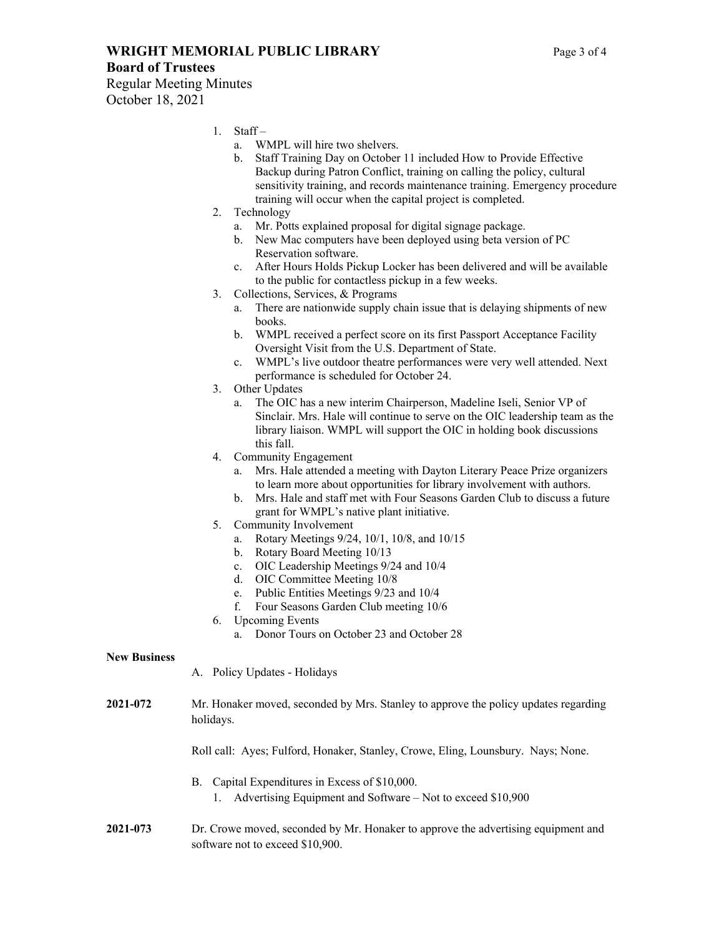**WRIGHT MEMORIAL PUBLIC LIBRARY** Page 3 of 4 **Board of Trustees** 

Regular Meeting Minutes October 18, 2021

- 1. Staff
	- a. WMPL will hire two shelvers.
	- b. Staff Training Day on October 11 included How to Provide Effective Backup during Patron Conflict, training on calling the policy, cultural sensitivity training, and records maintenance training. Emergency procedure training will occur when the capital project is completed.
- 2. Technology
	- a. Mr. Potts explained proposal for digital signage package.
	- b. New Mac computers have been deployed using beta version of PC Reservation software.
	- c. After Hours Holds Pickup Locker has been delivered and will be available to the public for contactless pickup in a few weeks.
- 3. Collections, Services, & Programs
	- a. There are nationwide supply chain issue that is delaying shipments of new books.
	- b. WMPL received a perfect score on its first Passport Acceptance Facility Oversight Visit from the U.S. Department of State.
	- c. WMPL's live outdoor theatre performances were very well attended. Next performance is scheduled for October 24.
- 3. Other Updates
	- a. The OIC has a new interim Chairperson, Madeline Iseli, Senior VP of Sinclair. Mrs. Hale will continue to serve on the OIC leadership team as the library liaison. WMPL will support the OIC in holding book discussions this fall.
- 4. Community Engagement
	- a. Mrs. Hale attended a meeting with Dayton Literary Peace Prize organizers to learn more about opportunities for library involvement with authors.
	- b. Mrs. Hale and staff met with Four Seasons Garden Club to discuss a future grant for WMPL's native plant initiative.
- 5. Community Involvement
	- a. Rotary Meetings 9/24, 10/1, 10/8, and 10/15
	- b. Rotary Board Meeting 10/13
	- c. OIC Leadership Meetings 9/24 and 10/4
	- d. OIC Committee Meeting 10/8
	- e. Public Entities Meetings 9/23 and 10/4
	- f. Four Seasons Garden Club meeting 10/6
- 6. Upcoming Events
	- a. Donor Tours on October 23 and October 28

### **New Business**

- A. Policy Updates Holidays
- **2021-072** Mr. Honaker moved, seconded by Mrs. Stanley to approve the policy updates regarding holidays.

Roll call: Ayes; Fulford, Honaker, Stanley, Crowe, Eling, Lounsbury. Nays; None.

- B. Capital Expenditures in Excess of \$10,000. 1. Advertising Equipment and Software – Not to exceed \$10,900
- **2021-073** Dr. Crowe moved, seconded by Mr. Honaker to approve the advertising equipment and software not to exceed \$10,900.